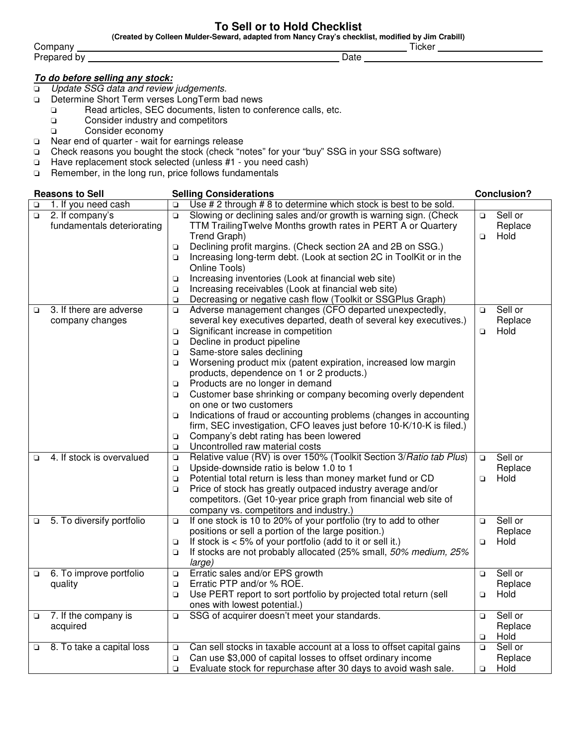#### **To Sell or to Hold Checklist**

**(Created by Colleen Mulder-Seward, adapted from Nancy Cray's checklist, modified by Jim Crabill)** 

Company Ticker Prepared by Date

#### **To do before selling any stock:**

- ❏ Update SSG data and review judgements.
- ❏ Determine Short Term verses LongTerm bad news
	- ❏ Read articles, SEC documents, listen to conference calls, etc.
	- ❏ Consider industry and competitors
	- ❏ Consider economy
- ❏ Near end of quarter wait for earnings release
- ❏ Check reasons you bought the stock (check "notes" for your "buy" SSG in your SSG software)
- ❏ Have replacement stock selected (unless #1 you need cash)
- Remember, in the long run, price follows fundamentals

| <b>Reasons to Sell</b> |                            |        | <b>Selling Considerations</b>                                        |        | <b>Conclusion?</b> |  |
|------------------------|----------------------------|--------|----------------------------------------------------------------------|--------|--------------------|--|
| o                      | 1. If you need cash        | $\Box$ | Use # 2 through # 8 to determine which stock is best to be sold.     |        |                    |  |
| $\Box$                 | 2. If company's            | $\Box$ | Slowing or declining sales and/or growth is warning sign. (Check     | $\Box$ | Sell or            |  |
|                        | fundamentals deteriorating |        | TTM Trailing Twelve Months growth rates in PERT A or Quartery        |        | Replace            |  |
|                        |                            |        | Trend Graph)                                                         | $\Box$ | Hold               |  |
|                        |                            | $\Box$ | Declining profit margins. (Check section 2A and 2B on SSG.)          |        |                    |  |
|                        |                            | $\Box$ | Increasing long-term debt. (Look at section 2C in ToolKit or in the  |        |                    |  |
|                        |                            |        | Online Tools)                                                        |        |                    |  |
|                        |                            | $\Box$ | Increasing inventories (Look at financial web site)                  |        |                    |  |
|                        |                            | $\Box$ | Increasing receivables (Look at financial web site)                  |        |                    |  |
|                        |                            | Q      | Decreasing or negative cash flow (Toolkit or SSGPlus Graph)          |        |                    |  |
| $\Box$                 | 3. If there are adverse    | $\Box$ | Adverse management changes (CFO departed unexpectedly,               | $\Box$ | Sell or            |  |
|                        | company changes            |        | several key executives departed, death of several key executives.)   |        | Replace            |  |
|                        |                            | $\Box$ | Significant increase in competition                                  | $\Box$ | Hold               |  |
|                        |                            | $\Box$ | Decline in product pipeline                                          |        |                    |  |
|                        |                            | Q      | Same-store sales declining                                           |        |                    |  |
|                        |                            | Q      | Worsening product mix (patent expiration, increased low margin       |        |                    |  |
|                        |                            |        | products, dependence on 1 or 2 products.)                            |        |                    |  |
|                        |                            | ❏      | Products are no longer in demand                                     |        |                    |  |
|                        |                            | Q      | Customer base shrinking or company becoming overly dependent         |        |                    |  |
|                        |                            |        | on one or two customers                                              |        |                    |  |
|                        |                            | Q      | Indications of fraud or accounting problems (changes in accounting   |        |                    |  |
|                        |                            |        | firm, SEC investigation, CFO leaves just before 10-K/10-K is filed.) |        |                    |  |
|                        |                            | $\Box$ | Company's debt rating has been lowered                               |        |                    |  |
|                        |                            | $\Box$ | Uncontrolled raw material costs                                      |        |                    |  |
| $\Box$                 | 4. If stock is overvalued  | $\Box$ | Relative value (RV) is over 150% (Toolkit Section 3/ Ratio tab Plus) | $\Box$ | Sell or            |  |
|                        |                            | $\Box$ | Upside-downside ratio is below 1.0 to 1                              |        | Replace            |  |
|                        |                            | $\Box$ | Potential total return is less than money market fund or CD          | $\Box$ | Hold               |  |
|                        |                            | $\Box$ | Price of stock has greatly outpaced industry average and/or          |        |                    |  |
|                        |                            |        | competitors. (Get 10-year price graph from financial web site of     |        |                    |  |
|                        |                            |        | company vs. competitors and industry.)                               |        |                    |  |
| $\Box$                 | 5. To diversify portfolio  | $\Box$ | If one stock is 10 to 20% of your portfolio (try to add to other     | $\Box$ | Sell or            |  |
|                        |                            |        | positions or sell a portion of the large position.)                  |        | Replace            |  |
|                        |                            | $\Box$ | If stock is $< 5\%$ of your portfolio (add to it or sell it.)        | $\Box$ | Hold               |  |
|                        |                            | Q      | If stocks are not probably allocated (25% small, 50% medium, 25%     |        |                    |  |
|                        |                            |        | large)                                                               |        |                    |  |
| $\Box$                 | 6. To improve portfolio    | $\Box$ | Erratic sales and/or EPS growth                                      | $\Box$ | Sell or            |  |
|                        | quality                    | $\Box$ | Erratic PTP and/or % ROE.                                            |        | Replace            |  |
|                        |                            | $\Box$ | Use PERT report to sort portfolio by projected total return (sell    | $\Box$ | Hold               |  |
|                        |                            |        | ones with lowest potential.)                                         |        |                    |  |
| $\Box$                 | 7. If the company is       | $\Box$ | SSG of acquirer doesn't meet your standards.                         | $\Box$ | Sell or            |  |
|                        | acquired                   |        |                                                                      |        | Replace            |  |
|                        |                            |        |                                                                      | $\Box$ | Hold               |  |
| o                      | 8. To take a capital loss  | о      | Can sell stocks in taxable account at a loss to offset capital gains | $\Box$ | Sell or            |  |
|                        |                            | $\Box$ | Can use \$3,000 of capital losses to offset ordinary income          |        | Replace            |  |
|                        |                            | $\Box$ | Evaluate stock for repurchase after 30 days to avoid wash sale.      | o      | Hold               |  |